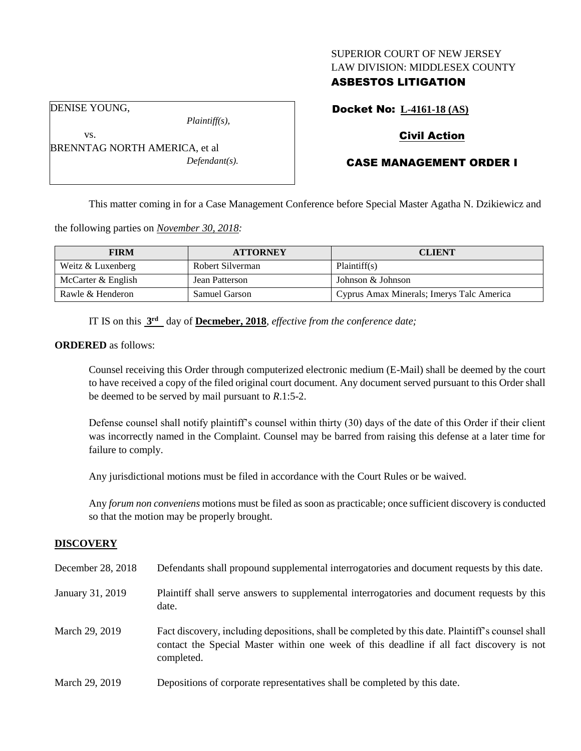### SUPERIOR COURT OF NEW JERSEY LAW DIVISION: MIDDLESEX COUNTY

# ASBESTOS LITIGATION

DENISE YOUNG,

vs.

*Plaintiff(s),*

*Defendant(s).*

Docket No: **L-4161-18 (AS)**

# Civil Action

# CASE MANAGEMENT ORDER I

This matter coming in for a Case Management Conference before Special Master Agatha N. Dzikiewicz and

the following parties on *November 30, 2018:*

BRENNTAG NORTH AMERICA, et al

| <b>FIRM</b>        | <b>ATTORNEY</b>      | <b>CLIENT</b>                             |
|--------------------|----------------------|-------------------------------------------|
| Weitz & Luxenberg  | Robert Silverman     | Plaintiff(s)                              |
| McCarter & English | Jean Patterson       | Johnson & Johnson                         |
| Rawle & Henderon   | <b>Samuel Garson</b> | Cyprus Amax Minerals; Imerys Talc America |

IT IS on this **3 rd** day of **Decmeber, 2018**, *effective from the conference date;*

**ORDERED** as follows:

Counsel receiving this Order through computerized electronic medium (E-Mail) shall be deemed by the court to have received a copy of the filed original court document. Any document served pursuant to this Order shall be deemed to be served by mail pursuant to *R*.1:5-2.

Defense counsel shall notify plaintiff's counsel within thirty (30) days of the date of this Order if their client was incorrectly named in the Complaint. Counsel may be barred from raising this defense at a later time for failure to comply.

Any jurisdictional motions must be filed in accordance with the Court Rules or be waived.

Any *forum non conveniens* motions must be filed as soon as practicable; once sufficient discovery is conducted so that the motion may be properly brought.

### **DISCOVERY**

| December 28, 2018 | Defendants shall propound supplemental interrogatories and document requests by this date.                                                                                                                  |
|-------------------|-------------------------------------------------------------------------------------------------------------------------------------------------------------------------------------------------------------|
| January 31, 2019  | Plaintiff shall serve answers to supplemental interrogatories and document requests by this<br>date.                                                                                                        |
| March 29, 2019    | Fact discovery, including depositions, shall be completed by this date. Plaintiff's counsel shall<br>contact the Special Master within one week of this deadline if all fact discovery is not<br>completed. |
| March 29, 2019    | Depositions of corporate representatives shall be completed by this date.                                                                                                                                   |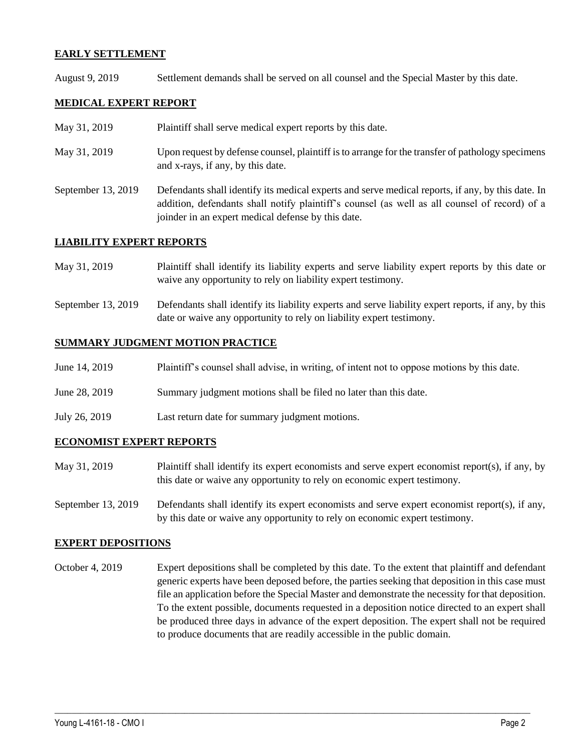### **EARLY SETTLEMENT**

August 9, 2019 Settlement demands shall be served on all counsel and the Special Master by this date.

### **MEDICAL EXPERT REPORT**

- May 31, 2019 Plaintiff shall serve medical expert reports by this date.
- May 31, 2019 Upon request by defense counsel, plaintiff is to arrange for the transfer of pathology specimens and x-rays, if any, by this date.
- September 13, 2019 Defendants shall identify its medical experts and serve medical reports, if any, by this date. In addition, defendants shall notify plaintiff's counsel (as well as all counsel of record) of a joinder in an expert medical defense by this date.

### **LIABILITY EXPERT REPORTS**

- May 31, 2019 Plaintiff shall identify its liability experts and serve liability expert reports by this date or waive any opportunity to rely on liability expert testimony.
- September 13, 2019 Defendants shall identify its liability experts and serve liability expert reports, if any, by this date or waive any opportunity to rely on liability expert testimony.

#### **SUMMARY JUDGMENT MOTION PRACTICE**

| Plaintiff's counsel shall advise, in writing, of intent not to oppose motions by this date.<br>June 14, 2019 |  |  |
|--------------------------------------------------------------------------------------------------------------|--|--|
|--------------------------------------------------------------------------------------------------------------|--|--|

- June 28, 2019 Summary judgment motions shall be filed no later than this date.
- July 26, 2019 Last return date for summary judgment motions.

### **ECONOMIST EXPERT REPORTS**

- May 31, 2019 Plaintiff shall identify its expert economists and serve expert economist report(s), if any, by this date or waive any opportunity to rely on economic expert testimony.
- September 13, 2019 Defendants shall identify its expert economists and serve expert economist report(s), if any, by this date or waive any opportunity to rely on economic expert testimony.

### **EXPERT DEPOSITIONS**

October 4, 2019 Expert depositions shall be completed by this date. To the extent that plaintiff and defendant generic experts have been deposed before, the parties seeking that deposition in this case must file an application before the Special Master and demonstrate the necessity for that deposition. To the extent possible, documents requested in a deposition notice directed to an expert shall be produced three days in advance of the expert deposition. The expert shall not be required to produce documents that are readily accessible in the public domain.

 $\_$  ,  $\_$  ,  $\_$  ,  $\_$  ,  $\_$  ,  $\_$  ,  $\_$  ,  $\_$  ,  $\_$  ,  $\_$  ,  $\_$  ,  $\_$  ,  $\_$  ,  $\_$  ,  $\_$  ,  $\_$  ,  $\_$  ,  $\_$  ,  $\_$  ,  $\_$  ,  $\_$  ,  $\_$  ,  $\_$  ,  $\_$  ,  $\_$  ,  $\_$  ,  $\_$  ,  $\_$  ,  $\_$  ,  $\_$  ,  $\_$  ,  $\_$  ,  $\_$  ,  $\_$  ,  $\_$  ,  $\_$  ,  $\_$  ,